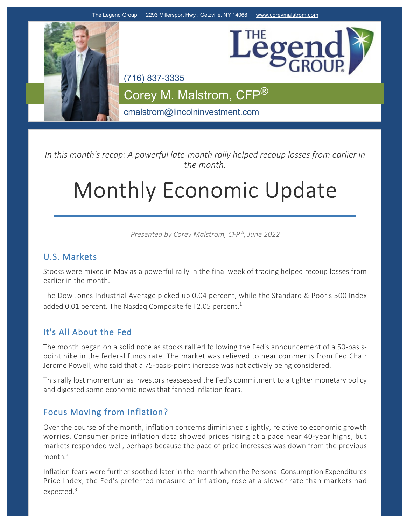

*In this month's recap: A powerful late‐month rally helped recoup losses from earlier in the month.*

# Monthly Economic Update

*Presented by Corey Malstrom, CFP®, June 2022*

## U.S. Markets

Stocks were mixed in May as a powerful rally in the final week of trading helped recoup losses from earlier in the month.

The Dow Jones Industrial Average picked up 0.04 percent, while the Standard & Poor's 500 Index added 0.01 percent. The Nasdaq Composite fell 2.05 percent.<sup>1</sup>

## It's All About the Fed

The month began on a solid note as stocks rallied following the Fed's announcement of a 50-basispoint hike in the federal funds rate. The market was relieved to hear comments from Fed Chair Jerome Powell, who said that a 75‐basis‐point increase was not actively being considered.

This rally lost momentum as investors reassessed the Fed's commitment to a tighter monetary policy and digested some economic news that fanned inflation fears.

## Focus Moving from Inflation?

Over the course of the month, inflation concerns diminished slightly, relative to economic growth worries. Consumer price inflation data showed prices rising at a pace near 40‐year highs, but markets responded well, perhaps because the pace of price increases was down from the previous month.<sup>2</sup>

Inflation fears were further soothed later in the month when the Personal Consumption Expenditures Price Index, the Fed's preferred measure of inflation, rose at a slower rate than markets had expected.<sup>3</sup>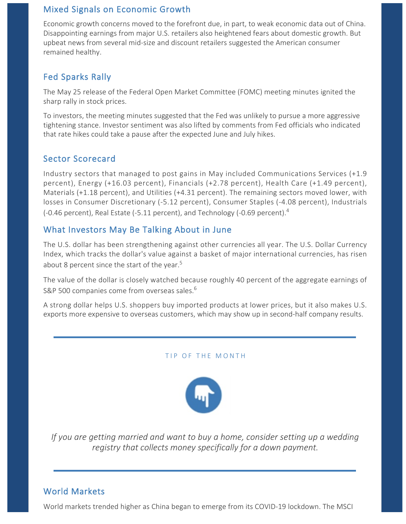## Mixed Signals on Economic Growth

Economic growth concerns moved to the forefront due, in part, to weak economic data out of China. Disappointing earnings from major U.S. retailers also heightened fears about domestic growth. But upbeat news from several mid‐size and discount retailers suggested the American consumer remained healthy.

## Fed Sparks Rally

The May 25 release of the Federal Open Market Committee (FOMC) meeting minutes ignited the sharp rally in stock prices.

To investors, the meeting minutes suggested that the Fed was unlikely to pursue a more aggressive tightening stance. Investor sentiment was also lifted by comments from Fed officials who indicated that rate hikes could take a pause after the expected June and July hikes.

## Sector Scorecard

Industry sectors that managed to post gains in May included Communications Services (+1.9 percent), Energy (+16.03 percent), Financials (+2.78 percent), Health Care (+1.49 percent), Materials (+1.18 percent), and Utilities (+4.31 percent). The remaining sectors moved lower, with losses in Consumer Discretionary (‐5.12 percent), Consumer Staples (‐4.08 percent), Industrials ( $-0.46$  percent), Real Estate ( $-5.11$  percent), and Technology ( $-0.69$  percent).<sup>4</sup>

## What Investors May Be Talking About in June

The U.S. dollar has been strengthening against other currencies all year. The U.S. Dollar Currency Index, which tracks the dollar's value against a basket of major international currencies, has risen about 8 percent since the start of the year.<sup>5</sup>

The value of the dollar is closely watched because roughly 40 percent of the aggregate earnings of S&P 500 companies come from overseas sales.<sup>6</sup>

A strong dollar helps U.S. shoppers buy imported products at lower prices, but it also makes U.S. exports more expensive to overseas customers, which may show up in second-half company results.

#### TIP OF THE MONTH



*If you are getting married and want to buy a home, consider setting up a wedding registry that collects money specifically for a down payment.*

## World Markets

World markets trended higher as China began to emerge from its COVID‐19 lockdown. The MSCI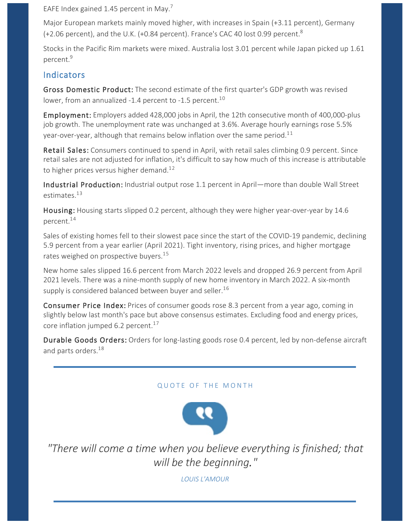EAFE Index gained 1.45 percent in May.<sup>7</sup>

Major European markets mainly moved higher, with increases in Spain (+3.11 percent), Germany (+2.06 percent), and the U.K. (+0.84 percent). France's CAC 40 lost 0.99 percent.<sup>8</sup>

Stocks in the Pacific Rim markets were mixed. Australia lost 3.01 percent while Japan picked up 1.61 percent.<sup>9</sup>

## **Indicators**

Gross Domestic Product: The second estimate of the first quarter's GDP growth was revised lower, from an annualized -1.4 percent to -1.5 percent.<sup>10</sup>

Employment: Employers added 428,000 jobs in April, the 12th consecutive month of 400,000-plus job growth. The unemployment rate was unchanged at 3.6%. Average hourly earnings rose 5.5% year-over-year, although that remains below inflation over the same period.<sup>11</sup>

Retail Sales: Consumers continued to spend in April, with retail sales climbing 0.9 percent. Since retail sales are not adjusted for inflation, it's difficult to say how much of this increase is attributable to higher prices versus higher demand.<sup>12</sup>

Industrial Production: Industrial output rose 1.1 percent in April—more than double Wall Street estimates.<sup>13</sup>

Housing: Housing starts slipped 0.2 percent, although they were higher year-over-year by 14.6 percent.<sup>14</sup>

Sales of existing homes fell to their slowest pace since the start of the COVID‐19 pandemic, declining 5.9 percent from a year earlier (April 2021). Tight inventory, rising prices, and higher mortgage rates weighed on prospective buyers.<sup>15</sup>

New home sales slipped 16.6 percent from March 2022 levels and dropped 26.9 percent from April 2021 levels. There was a nine‐month supply of new home inventory in March 2022. A six‐month supply is considered balanced between buyer and seller.<sup>16</sup>

Consumer Price Index: Prices of consumer goods rose 8.3 percent from a year ago, coming in slightly below last month's pace but above consensus estimates. Excluding food and energy prices, core inflation jumped 6.2 percent.<sup>17</sup>

Durable Goods Orders: Orders for long-lasting goods rose 0.4 percent, led by non-defense aircraft and parts orders.<sup>18</sup>

### QUOTE OF THE MONTH



*"There will come a time when you believe everything is finished; that will be the beginning."*

*LOUIS L'AMOUR*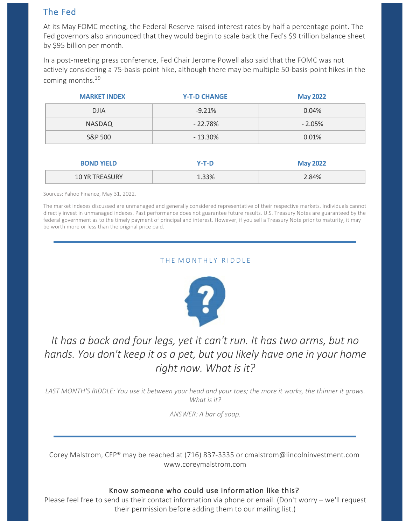## The Fed

At its May FOMC meeting, the Federal Reserve raised interest rates by half a percentage point. The Fed governors also announced that they would begin to scale back the Fed's \$9 trillion balance sheet by \$95 billion per month.

In a post‐meeting press conference, Fed Chair Jerome Powell also said that the FOMC was not actively considering a 75‐basis‐point hike, although there may be multiple 50‐basis‐point hikes in the coming months.<sup>19</sup>

| <b>MARKET INDEX</b> | <b>Y-T-D CHANGE</b> | <b>May 2022</b> |
|---------------------|---------------------|-----------------|
| <b>DJIA</b>         | $-9.21%$            | 0.04%           |
| <b>NASDAQ</b>       | $-22.78%$           | $-2.05%$        |
| S&P 500             | $-13.30\%$          | 0.01%           |
|                     |                     |                 |
| <b>BOND YIELD</b>   | Y-T-D               | <b>May 2022</b> |

| __ |    |      |
|----|----|------|
| .  | 7٥ | .84% |
|    |    |      |

Sources: Yahoo Finance, May 31, 2022.

The market indexes discussed are unmanaged and generally considered representative of their respective markets. Individuals cannot directly invest in unmanaged indexes. Past performance does not guarantee future results. U.S. Treasury Notes are guaranteed by the federal government as to the timely payment of principal and interest. However, if you sell a Treasury Note prior to maturity, it may be worth more or less than the original price paid.

#### THE MONTHLY RIDDLE



## *It has a back and four legs, yet it can't run. It has two arms, but no hands. You don't keep it as a pet, but you likely have one in your home right now. What is it?*

*LAST MONTH'S RIDDLE: You use it between your head and your toes; the more it works, the thinner it grows. What is it?*

*ANSWER: A bar of soap.*

Corey Malstrom, CFP® may be reached at (716) 837‐3335 or cmalstrom@lincolninvestment.com www.coreymalstrom.com

#### Know someone who could use information like this?

Please feel free to send us their contact information via phone or email. (Don't worry – we'll request their permission before adding them to our mailing list.)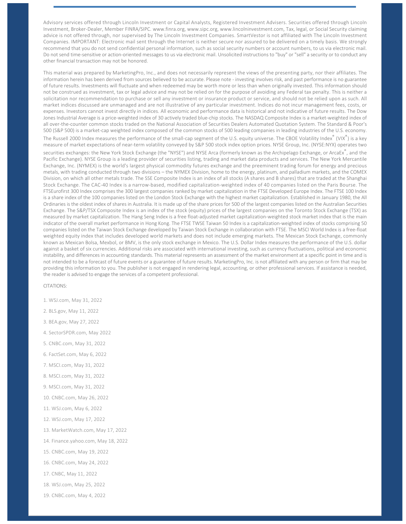Advisory services offered through Lincoln Investment or Capital Analysts, Registered Investment Advisers. Securities offered through Lincoln Investment, Broker‐Dealer, Member FINRA/SIPC. www.finra.org, www.sipc.org, www.lincolninvestment.com, Tax, legal, or Social Security claiming advice is not offered through, nor supervised by The Lincoln Investment Companies. SmartVestor is not affiliated with The Lincoln Investment Companies. IMPORTANT: Electronic mail sent through the Internet is neither secure nor assured to be delivered on a timely basis. We strongly recommend that you do not send confidential personal information, such as social security numbers or account numbers, to us via electronic mail. Do not send time-sensitive or action-oriented messages to us via electronic mail. Unsolicited instructions to "buy" or "sell" a security or to conduct any other financial transaction may not be honored.

This material was prepared by MarketingPro, Inc., and does not necessarily represent the views of the presenting party, nor their affiliates. The information herein has been derived from sources believed to be accurate. Please note ‐ investing involves risk, and past performance is no guarantee of future results. Investments will fluctuate and when redeemed may be worth more or less than when originally invested. This information should not be construed as investment, tax or legal advice and may not be relied on for the purpose of avoiding any Federal tax penalty. This is neither a solicitation nor recommendation to purchase or sell any investment or insurance product or service, and should not be relied upon as such. All market indices discussed are unmanaged and are not illustrative of any particular investment. Indices do not incur management fees, costs, or expenses. Investors cannot invest directly in indices. All economic and performance data is historical and not indicative of future results. The Dow Jones Industrial Average is a price-weighted index of 30 actively traded blue-chip stocks. The NASDAQ Composite Index is a market-weighted index of all over‐the‐counter common stocks traded on the National Association of Securities Dealers Automated Quotation System. The Standard & Poor's 500 (S&P 500) is a market-cap weighted index composed of the common stocks of 500 leading companies in leading industries of the U.S. economy.

The Russell 2000 Index measures the performance of the small-cap segment of the U.S. equity universe. The CBOE Volatility Index® (VIX®) is a key measure of market expectations of near‐term volatility conveyed by S&P 500 stock index option prices. NYSE Group, Inc. (NYSE:NYX) operates two securities exchanges: the New York Stock Exchange (the "NYSE") and NYSE Arca (formerly known as the Archipelago Exchange, or ArcaEx $^\circ$ , and the Pacific Exchange). NYSE Group is a leading provider of securities listing, trading and market data products and services. The New York Mercantile Exchange, Inc. (NYMEX) is the world's largest physical commodity futures exchange and the preeminent trading forum for energy and precious metals, with trading conducted through two divisions – the NYMEX Division, home to the energy, platinum, and palladium markets, and the COMEX Division, on which all other metals trade. The SSE Composite Index is an index of all stocks (A shares and B shares) that are traded at the Shanghai Stock Exchange. The CAC‐40 Index is a narrow‐based, modified capitalization‐weighted index of 40 companies listed on the Paris Bourse. The FTSEurofirst 300 Index comprises the 300 largest companies ranked by market capitalization in the FTSE Developed Europe Index. The FTSE 100 Index is a share index of the 100 companies listed on the London Stock Exchange with the highest market capitalization. Established in January 1980, the All Ordinaries is the oldest index of shares in Australia. It is made up of the share prices for 500 of the largest companies listed on the Australian Securities Exchange. The S&P/TSX Composite Index is an index of the stock (equity) prices of the largest companies on the Toronto Stock Exchange (TSX) as measured by market capitalization. The Hang Seng Index is a free float-adjusted market capitalization-weighted stock market index that is the main indicator of the overall market performance in Hong Kong. The FTSE TWSE Taiwan 50 Index is a capitalization-weighted index of stocks comprising 50 companies listed on the Taiwan Stock Exchange developed by Taiwan Stock Exchange in collaboration with FTSE. The MSCI World Index is a free‐float weighted equity index that includes developed world markets and does not include emerging markets. The Mexican Stock Exchange, commonly known as Mexican Bolsa, Mexbol, or BMV, is the only stock exchange in Mexico. The U.S. Dollar Index measures the performance of the U.S. dollar against a basket of six currencies. Additional risks are associated with international investing, such as currency fluctuations, political and economic instability, and differences in accounting standards. This material represents an assessment of the market environment at a specific point in time and is not intended to be a forecast of future events or a guarantee of future results. MarketingPro, Inc. is not affiliated with any person or firm that may be providing this information to you. The publisher is not engaged in rendering legal, accounting, or other professional services. If assistance is needed, the reader is advised to engage the services of a competent professional.

CITATIONS:

- 1. WSJ.com, May 31, 2022
- 2. BLS.gov, May 11, 2022
- 3. BEA.gov, May 27, 2022
- 4. SectorSPDR.com, May 2022
- 5. CNBC.com, May 31, 2022
- 6. FactSet.com, May 6, 2022
- 7. MSCI.com, May 31, 2022
- 8. MSCI.com, May 31, 2022
- 9. MSCI.com, May 31, 2022
- 10. CNBC.com, May 26, 2022
- 11. WSJ.com, May 6, 2022
- 12. WSJ.com, May 17, 2022
- 13. MarketWatch.com, May 17, 2022
- 14. Finance.yahoo.com, May 18, 2022
- 15. CNBC.com, May 19, 2022
- 16. CNBC.com, May 24, 2022
- 17. CNBC, May 11, 2022
- 18. WSJ.com, May 25, 2022
- 19. CNBC.com, May 4, 2022